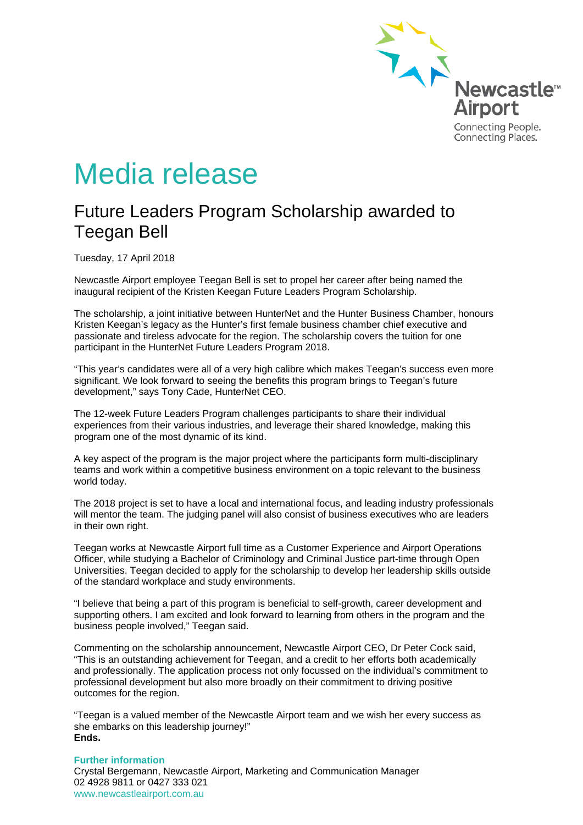

# Media release

## Future Leaders Program Scholarship awarded to Teegan Bell

Tuesday, 17 April 2018

Newcastle Airport employee Teegan Bell is set to propel her career after being named the inaugural recipient of the Kristen Keegan Future Leaders Program Scholarship.

The scholarship, a joint initiative between HunterNet and the Hunter Business Chamber, honours Kristen Keegan's legacy as the Hunter's first female business chamber chief executive and passionate and tireless advocate for the region. The scholarship covers the tuition for one participant in the HunterNet Future Leaders Program 2018.

"This year's candidates were all of a very high calibre which makes Teegan's success even more significant. We look forward to seeing the benefits this program brings to Teegan's future development," says Tony Cade, HunterNet CEO.

The 12-week Future Leaders Program challenges participants to share their individual experiences from their various industries, and leverage their shared knowledge, making this program one of the most dynamic of its kind.

A key aspect of the program is the major project where the participants form multi-disciplinary teams and work within a competitive business environment on a topic relevant to the business world today.

The 2018 project is set to have a local and international focus, and leading industry professionals will mentor the team. The judging panel will also consist of business executives who are leaders in their own right.

Teegan works at Newcastle Airport full time as a Customer Experience and Airport Operations Officer, while studying a Bachelor of Criminology and Criminal Justice part-time through Open Universities. Teegan decided to apply for the scholarship to develop her leadership skills outside of the standard workplace and study environments.

"I believe that being a part of this program is beneficial to self-growth, career development and supporting others. I am excited and look forward to learning from others in the program and the business people involved," Teegan said.

Commenting on the scholarship announcement, Newcastle Airport CEO, Dr Peter Cock said, "This is an outstanding achievement for Teegan, and a credit to her efforts both academically and professionally. The application process not only focussed on the individual's commitment to professional development but also more broadly on their commitment to driving positive outcomes for the region.

"Teegan is a valued member of the Newcastle Airport team and we wish her every success as she embarks on this leadership journey!" **Ends.**

#### **Further information**

Crystal Bergemann, Newcastle Airport, Marketing and Communication Manager 02 4928 9811 or 0427 333 021 www.newcastleairport.com.au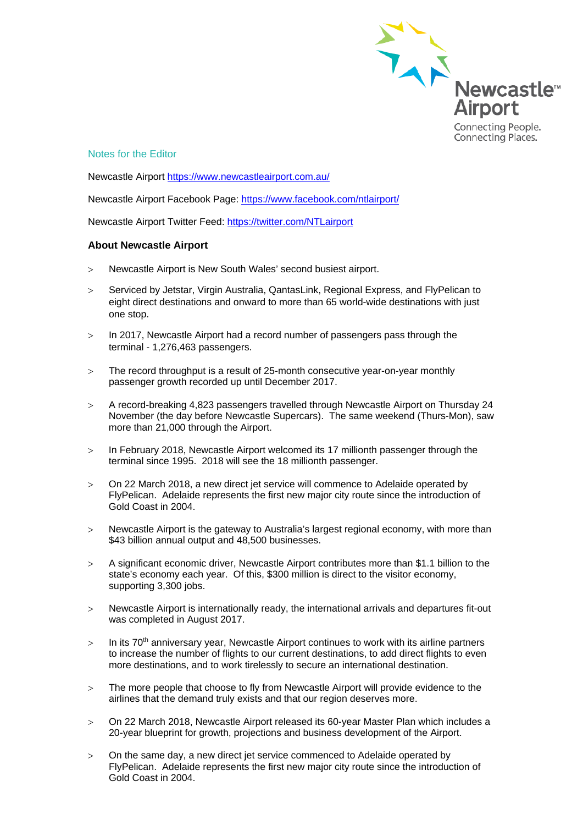

### Notes for the Editor

Newcastle Airport<https://www.newcastleairport.com.au/>

Newcastle Airport Facebook Page: <https://www.facebook.com/ntlairport/>

Newcastle Airport Twitter Feed:<https://twitter.com/NTLairport>

#### **About Newcastle Airport**

- > Newcastle Airport is New South Wales' second busiest airport.
- > Serviced by Jetstar, Virgin Australia, QantasLink, Regional Express, and FlyPelican to eight direct destinations and onward to more than 65 world-wide destinations with just one stop.
- > In 2017, Newcastle Airport had a record number of passengers pass through the terminal - 1,276,463 passengers.
- > The record throughput is a result of 25-month consecutive year-on-year monthly passenger growth recorded up until December 2017.
- > A record-breaking 4,823 passengers travelled through Newcastle Airport on Thursday 24 November (the day before Newcastle Supercars). The same weekend (Thurs-Mon), saw more than 21,000 through the Airport.
- > In February 2018, Newcastle Airport welcomed its 17 millionth passenger through the terminal since 1995. 2018 will see the 18 millionth passenger.
- > On 22 March 2018, a new direct jet service will commence to Adelaide operated by FlyPelican. Adelaide represents the first new major city route since the introduction of Gold Coast in 2004.
- > Newcastle Airport is the gateway to Australia's largest regional economy, with more than \$43 billion annual output and 48,500 businesses.
- > A significant economic driver, Newcastle Airport contributes more than \$1.1 billion to the state's economy each year. Of this, \$300 million is direct to the visitor economy, supporting 3,300 jobs.
- > Newcastle Airport is internationally ready, the international arrivals and departures fit-out was completed in August 2017.
- $>$  In its 70<sup>th</sup> anniversary year, Newcastle Airport continues to work with its airline partners to increase the number of flights to our current destinations, to add direct flights to even more destinations, and to work tirelessly to secure an international destination.
- > The more people that choose to fly from Newcastle Airport will provide evidence to the airlines that the demand truly exists and that our region deserves more.
- > On 22 March 2018, Newcastle Airport released its 60-year Master Plan which includes a 20-year blueprint for growth, projections and business development of the Airport.
- > On the same day, a new direct jet service commenced to Adelaide operated by FlyPelican. Adelaide represents the first new major city route since the introduction of Gold Coast in 2004.